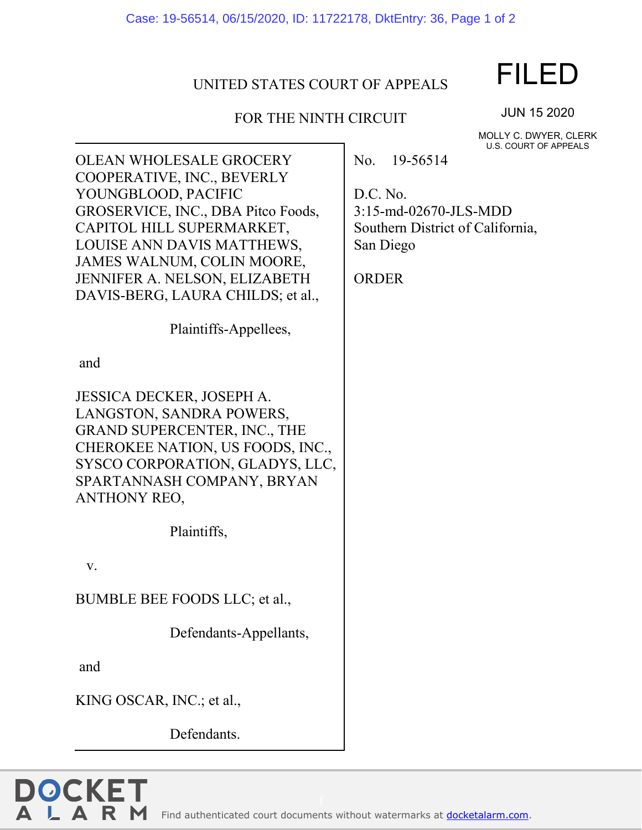## UNITED STATES COURT OF APPEALS

## FOR THE NINTH CIRCUIT

FILED

JUN 15 2020

MOLLY C. DWYER, CLERK U.S. COURT OF APPEALS

OLEAN WHOLESALE GROCERY COOPERATIVE, INC., BEVERLY YOUNGBLOOD, PACIFIC GROSERVICE, INC., DBA Pitco Foods, CAPITOL HILL SUPERMARKET, LOUISE ANN DAVIS MATTHEWS, JAMES WALNUM, COLIN MOORE, JENNIFER A. NELSON, ELIZABETH DAVIS-BERG, LAURA CHILDS; et al.,

Plaintiffs-Appellees,

and

JESSICA DECKER, JOSEPH A. LANGSTON, SANDRA POWERS, GRAND SUPERCENTER, INC., THE CHEROKEE NATION, US FOODS, INC., SYSCO CORPORATION, GLADYS, LLC, SPARTANNASH COMPANY, BRYAN ANTHONY REO,

Plaintiffs,

v.

BUMBLE BEE FOODS LLC; et al.,

Defendants-Appellants,

and

DOCKE<sup>®</sup>

R M

KING OSCAR, INC.; et al.,

Defendants.

No. 19-56514

D.C. No. 3:15-md-02670-JLS-MDD Southern District of California, San Diego

ORDER